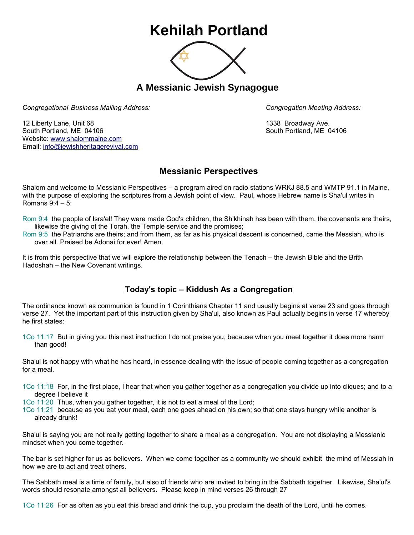## **Kehilah Portland**



**A Messianic Jewish Synagogue** 

*Congregational Business Mailing Address: Congregation Meeting Address:*

12 Liberty Lane, Unit 68 1338 Broadway Ave. South Portland, ME 04106 South Portland, ME 04106 Website: [www.shalommaine.com](http://www.shalommaine.com/) Email: [info@jewishheritagerevival.com](mailto:info@jewishheritagerevival.com) 

## **Messianic Perspectives**

Shalom and welcome to Messianic Perspectives – a program aired on radio stations WRKJ 88.5 and WMTP 91.1 in Maine, with the purpose of exploring the scriptures from a Jewish point of view. Paul, whose Hebrew name is Sha'ul writes in Romans 9:4 – 5:

- Rom 9:4 the people of Isra'el! They were made God's children, the Sh'khinah has been with them, the covenants are theirs, likewise the giving of the Torah, the Temple service and the promises;
- Rom 9:5 the Patriarchs are theirs; and from them, as far as his physical descent is concerned, came the Messiah, who is over all. Praised be Adonai for ever! Amen.

It is from this perspective that we will explore the relationship between the Tenach – the Jewish Bible and the Brith Hadoshah – the New Covenant writings.

## **Today's topic – Kiddush As a Congregation**

The ordinance known as communion is found in 1 Corinthians Chapter 11 and usually begins at verse 23 and goes through verse 27. Yet the important part of this instruction given by Sha'ul, also known as Paul actually begins in verse 17 whereby he first states:

1Co 11:17 But in giving you this next instruction I do not praise you, because when you meet together it does more harm than good!

Sha'ul is not happy with what he has heard, in essence dealing with the issue of people coming together as a congregation for a meal.

1Co 11:18 For, in the first place, I hear that when you gather together as a congregation you divide up into cliques; and to a degree I believe it

1Co 11:20 Thus, when you gather together, it is not to eat a meal of the Lord;

1Co 11:21 because as you eat your meal, each one goes ahead on his own; so that one stays hungry while another is already drunk!

Sha'ul is saying you are not really getting together to share a meal as a congregation. You are not displaying a Messianic mindset when you come together.

The bar is set higher for us as believers. When we come together as a community we should exhibit the mind of Messiah in how we are to act and treat others.

The Sabbath meal is a time of family, but also of friends who are invited to bring in the Sabbath together. Likewise, Sha'ul's words should resonate amongst all believers. Please keep in mind verses 26 through 27

1Co 11:26 For as often as you eat this bread and drink the cup, you proclaim the death of the Lord, until he comes.